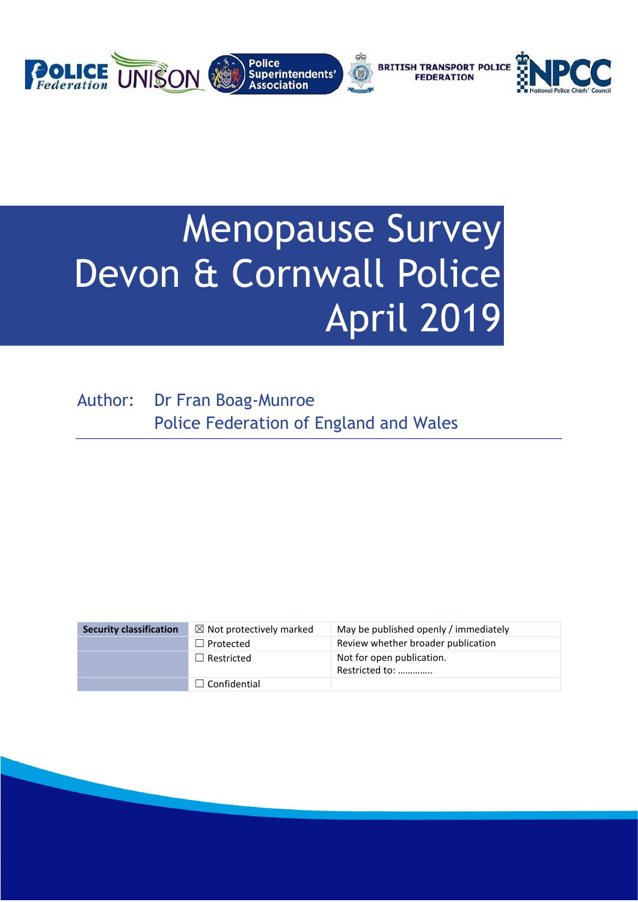

# Menopause Survey Devon & Cornwall Police April 2019

Author: Dr Fran Boag-Munroe Police Federation of England and Wales

| <b>Security classification</b> | $\boxtimes$ Not protectively marked | May be published openly / immediately       |
|--------------------------------|-------------------------------------|---------------------------------------------|
|                                | $\Box$ Protected                    | Review whether broader publication          |
|                                | $\Box$ Restricted                   | Not for open publication.<br>Restricted to: |
|                                | $\Box$ Confidential                 |                                             |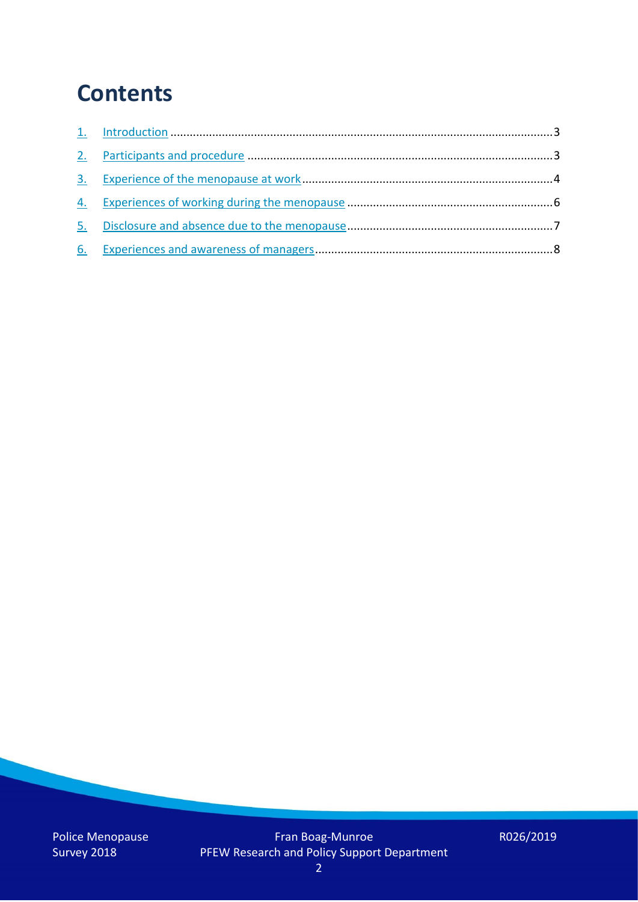### **Contents**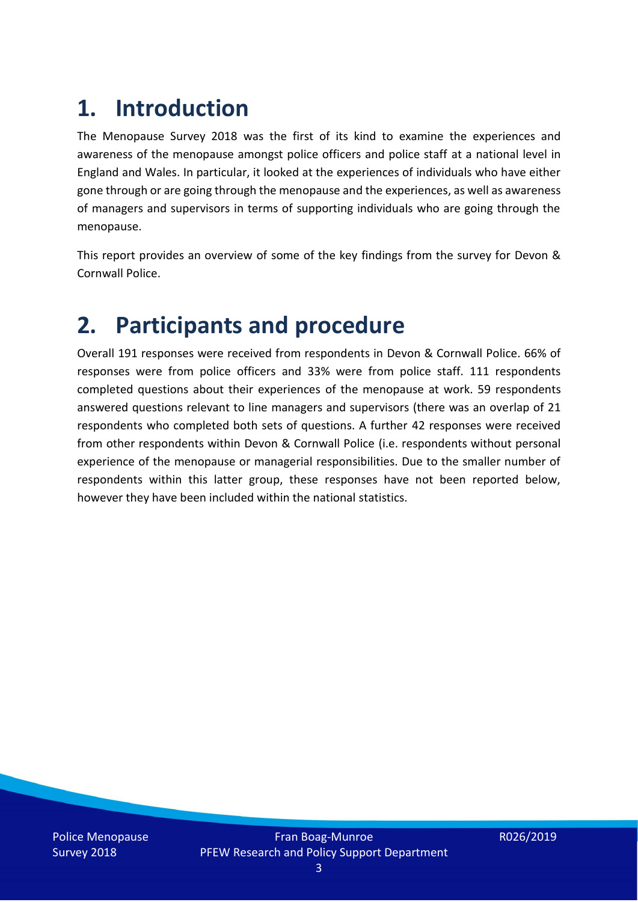## **1. Introduction**

The Menopause Survey 2018 was the first of its kind to examine the experiences and awareness of the menopause amongst police officers and police staff at a national level in England and Wales. In particular, it looked at the experiences of individuals who have either gone through or are going through the menopause and the experiences, as well as awareness of managers and supervisors in terms of supporting individuals who are going through the menopause.

This report provides an overview of some of the key findings from the survey for Devon & Cornwall Police.

### **2. Participants and procedure**

Overall 191 responses were received from respondents in Devon & Cornwall Police. 66% of responses were from police officers and 33% were from police staff. 111 respondents completed questions about their experiences of the menopause at work. 59 respondents answered questions relevant to line managers and supervisors (there was an overlap of 21 respondents who completed both sets of questions. A further 42 responses were received from other respondents within Devon & Cornwall Police (i.e. respondents without personal experience of the menopause or managerial responsibilities. Due to the smaller number of respondents within this latter group, these responses have not been reported below, however they have been included within the national statistics.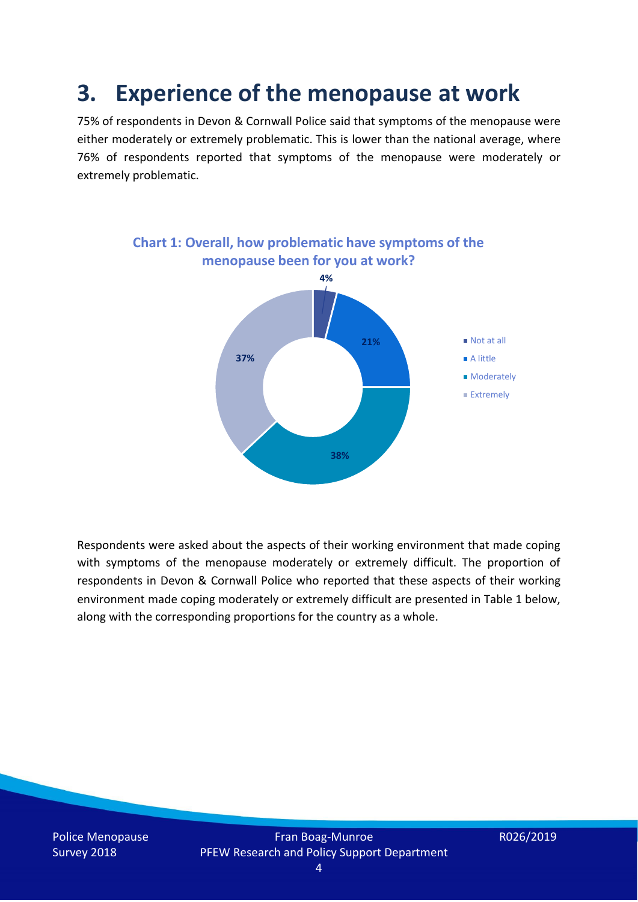### **3. Experience of the menopause at work**

75% of respondents in Devon & Cornwall Police said that symptoms of the menopause were either moderately or extremely problematic. This is lower than the national average, where 76% of respondents reported that symptoms of the menopause were moderately or extremely problematic.



Respondents were asked about the aspects of their working environment that made coping with symptoms of the menopause moderately or extremely difficult. The proportion of respondents in Devon & Cornwall Police who reported that these aspects of their working environment made coping moderately or extremely difficult are presented in Table 1 below, along with the corresponding proportions for the country as a whole.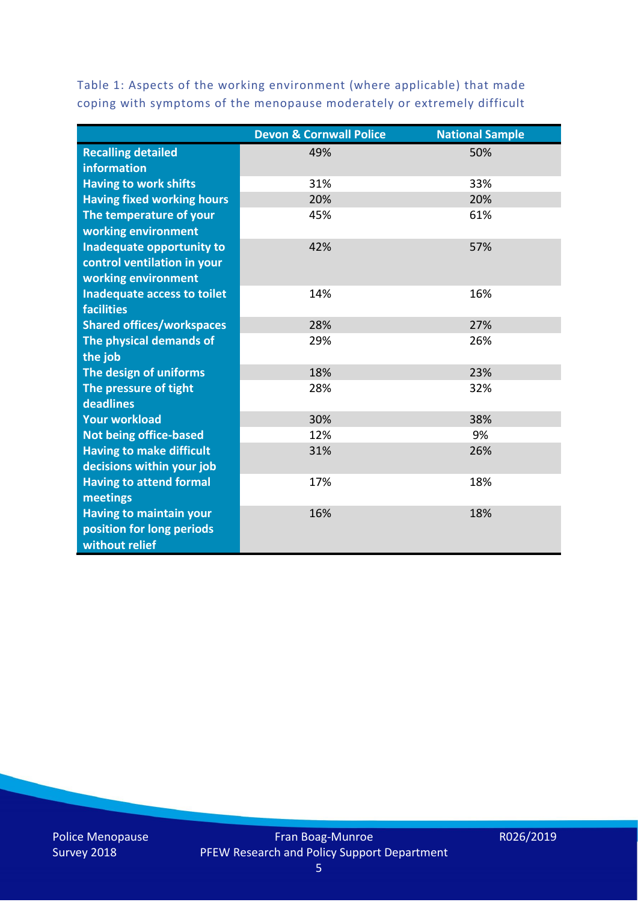Table 1: Aspects of the working environment (where applicable) that made coping with symptoms of the menopause moderately or extremely difficult

|                                   | <b>Devon &amp; Cornwall Police</b> | <b>National Sample</b> |
|-----------------------------------|------------------------------------|------------------------|
| <b>Recalling detailed</b>         | 49%                                | 50%                    |
| information                       |                                    |                        |
| <b>Having to work shifts</b>      | 31%                                | 33%                    |
| <b>Having fixed working hours</b> | 20%                                | 20%                    |
| The temperature of your           | 45%                                | 61%                    |
| working environment               |                                    |                        |
| Inadequate opportunity to         | 42%                                | 57%                    |
| control ventilation in your       |                                    |                        |
| working environment               |                                    |                        |
| Inadequate access to toilet       | 14%                                | 16%                    |
| <b>facilities</b>                 |                                    |                        |
| <b>Shared offices/workspaces</b>  | 28%                                | 27%                    |
| The physical demands of           | 29%                                | 26%                    |
| the job                           |                                    |                        |
| The design of uniforms            | 18%                                | 23%                    |
| The pressure of tight             | 28%                                | 32%                    |
| deadlines                         |                                    |                        |
| <b>Your workload</b>              | 30%                                | 38%                    |
| <b>Not being office-based</b>     | 12%                                | 9%                     |
| <b>Having to make difficult</b>   | 31%                                | 26%                    |
| decisions within your job         |                                    |                        |
| <b>Having to attend formal</b>    | 17%                                | 18%                    |
| meetings                          |                                    |                        |
| <b>Having to maintain your</b>    | 16%                                | 18%                    |
| position for long periods         |                                    |                        |
| without relief                    |                                    |                        |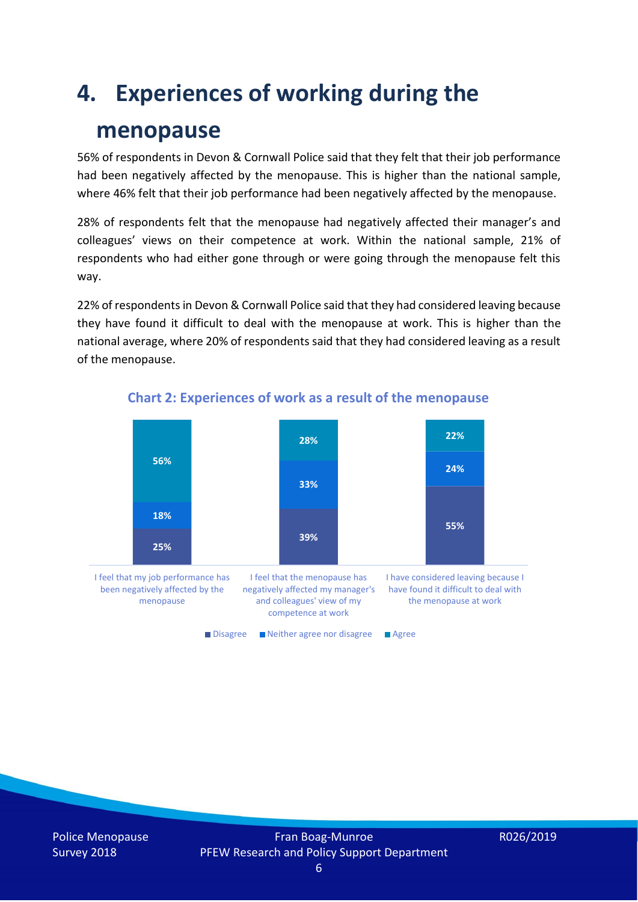### **4. Experiences of working during the**

### **menopause**

56% of respondents in Devon & Cornwall Police said that they felt that their job performance had been negatively affected by the menopause. This is higher than the national sample, where 46% felt that their job performance had been negatively affected by the menopause.

28% of respondents felt that the menopause had negatively affected their manager's and colleagues' views on their competence at work. Within the national sample, 21% of respondents who had either gone through or were going through the menopause felt this way.

22% of respondents in Devon & Cornwall Police said that they had considered leaving because they have found it difficult to deal with the menopause at work. This is higher than the national average, where 20% of respondents said that they had considered leaving as a result of the menopause.



### **Chart 2: Experiences of work as a result of the menopause**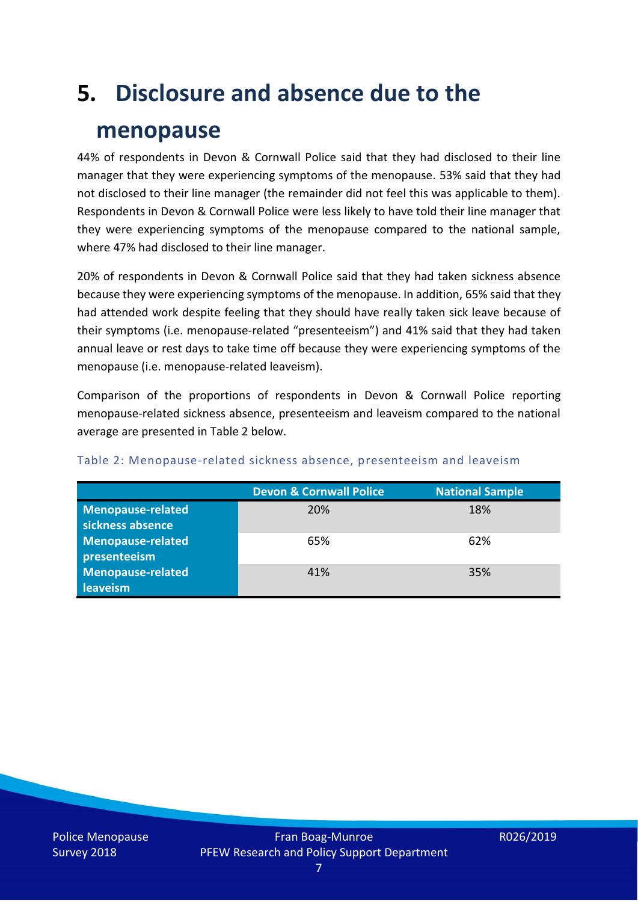# **5. Disclosure and absence due to the menopause**

44% of respondents in Devon & Cornwall Police said that they had disclosed to their line manager that they were experiencing symptoms of the menopause. 53% said that they had not disclosed to their line manager (the remainder did not feel this was applicable to them). Respondents in Devon & Cornwall Police were less likely to have told their line manager that they were experiencing symptoms of the menopause compared to the national sample, where 47% had disclosed to their line manager.

20% of respondents in Devon & Cornwall Police said that they had taken sickness absence because they were experiencing symptoms of the menopause. In addition, 65% said that they had attended work despite feeling that they should have really taken sick leave because of their symptoms (i.e. menopause-related "presenteeism") and 41% said that they had taken annual leave or rest days to take time off because they were experiencing symptoms of the menopause (i.e. menopause-related leaveism).

Comparison of the proportions of respondents in Devon & Cornwall Police reporting menopause-related sickness absence, presenteeism and leaveism compared to the national average are presented in Table 2 below.

|                          | <b>Devon &amp; Cornwall Police</b> | <b>National Sample</b> |
|--------------------------|------------------------------------|------------------------|
| <b>Menopause-related</b> | 20%                                | 18%                    |
| sickness absence         |                                    |                        |
| Menopause-related        | 65%                                | 62%                    |
| presenteeism             |                                    |                        |
| Menopause-related        | 41%                                | 35%                    |
| leaveism                 |                                    |                        |

#### Table 2: Menopause-related sickness absence, presenteeism and leaveism